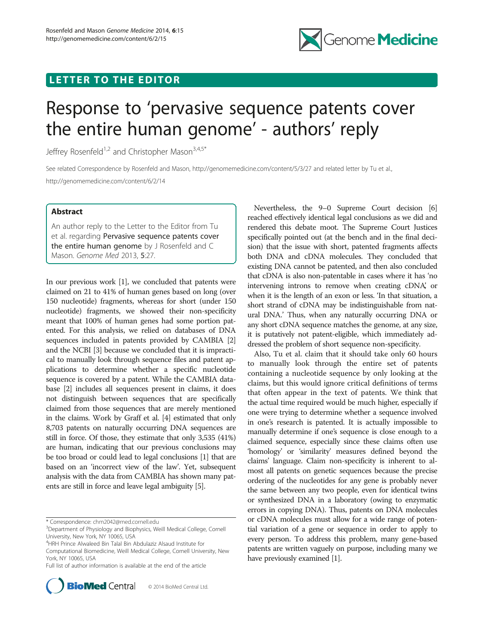

## LETTER TO THE EDITOR

# Response to 'pervasive sequence patents cover the entire human genome' - authors' reply

Jeffrey Rosenfeld<sup>1,2</sup> and Christopher Mason<sup>3,4,5\*</sup>

See related Correspondence by Rosenfeld and Mason, http://genomemedicine.com/content/5/3/27 and related letter by Tu et al., http://genomemedicine.com/content/6/2/14

### Abstract

An author reply to the Letter to the Editor from Tu et al. regarding Pervasive sequence patents cover the entire human genome by J Rosenfeld and C Mason. Genome Med 2013, 5:27.

In our previous work [\[1\]](#page-1-0), we concluded that patents were claimed on 21 to 41% of human genes based on long (over 150 nucleotide) fragments, whereas for short (under 150 nucleotide) fragments, we showed their non-specificity meant that 100% of human genes had some portion patented. For this analysis, we relied on databases of DNA sequences included in patents provided by CAMBIA [[2](#page-1-0)] and the NCBI [[3\]](#page-1-0) because we concluded that it is impractical to manually look through sequence files and patent applications to determine whether a specific nucleotide sequence is covered by a patent. While the CAMBIA database [\[2\]](#page-1-0) includes all sequences present in claims, it does not distinguish between sequences that are specifically claimed from those sequences that are merely mentioned in the claims. Work by Graff et al. [\[4](#page-1-0)] estimated that only 8,703 patents on naturally occurring DNA sequences are still in force. Of those, they estimate that only 3,535 (41%) are human, indicating that our previous conclusions may be too broad or could lead to legal conclusions [\[1](#page-1-0)] that are based on an 'incorrect view of the law'. Yet, subsequent analysis with the data from CAMBIA has shown many patents are still in force and leave legal ambiguity [\[5\]](#page-1-0).

Computational Biomedicine, Weill Medical College, Cornell University, New York, NY 10065, USA

Full list of author information is available at the end of the article



Nevertheless, the 9–0 Supreme Court decision [[6](#page-1-0)] reached effectively identical legal conclusions as we did and rendered this debate moot. The Supreme Court Justices specifically pointed out (at the bench and in the final decision) that the issue with short, patented fragments affects both DNA and cDNA molecules. They concluded that existing DNA cannot be patented, and then also concluded that cDNA is also non-patentable in cases where it has 'no intervening introns to remove when creating cDNA, or when it is the length of an exon or less. 'In that situation, a short strand of cDNA may be indistinguishable from natural DNA.' Thus, when any naturally occurring DNA or any short cDNA sequence matches the genome, at any size, it is putatively not patent-eligible, which immediately addressed the problem of short sequence non-specificity.

Also, Tu et al. claim that it should take only 60 hours to manually look through the entire set of patents containing a nucleotide sequence by only looking at the claims, but this would ignore critical definitions of terms that often appear in the text of patents. We think that the actual time required would be much higher, especially if one were trying to determine whether a sequence involved in one's research is patented. It is actually impossible to manually determine if one's sequence is close enough to a claimed sequence, especially since these claims often use 'homology' or 'similarity' measures defined beyond the claims' language. Claim non-specificity is inherent to almost all patents on genetic sequences because the precise ordering of the nucleotides for any gene is probably never the same between any two people, even for identical twins or synthesized DNA in a laboratory (owing to enzymatic errors in copying DNA). Thus, patents on DNA molecules or cDNA molecules must allow for a wide range of potential variation of a gene or sequence in order to apply to every person. To address this problem, many gene-based patents are written vaguely on purpose, including many we have previously examined [\[1\]](#page-1-0).

<sup>\*</sup> Correspondence: [chm2042@med.cornell.edu](mailto:chm2042@med.cornell.edu) <sup>3</sup>

<sup>&</sup>lt;sup>3</sup>Department of Physiology and Biophysics, Weill Medical College, Cornell University, New York, NY 10065, USA

<sup>4</sup> HRH Prince Alwaleed Bin Talal Bin Abdulaziz Alsaud Institute for